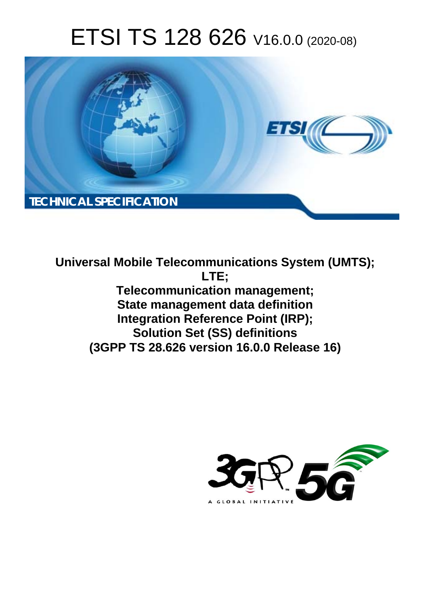# ETSI TS 128 626 V16.0.0 (2020-08)



**Universal Mobile Telecommunications System (UMTS); LTE; Telecommunication management; State management data definition Integration Reference Point (IRP); Solution Set (SS) definitions (3GPP TS 28.626 version 16.0.0 Release 16)** 

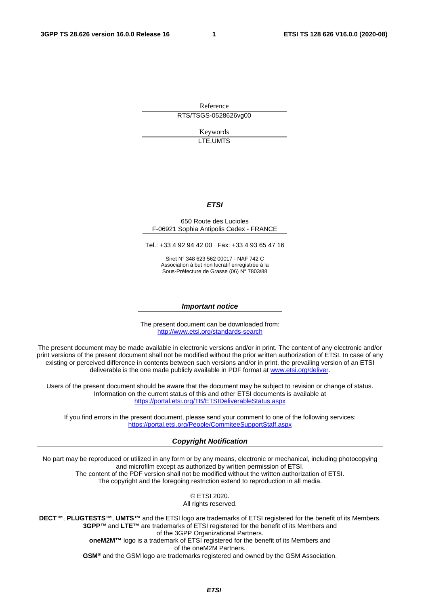Reference RTS/TSGS-0528626vg00

> Keywords LTE,UMTS

#### *ETSI*

#### 650 Route des Lucioles F-06921 Sophia Antipolis Cedex - FRANCE

Tel.: +33 4 92 94 42 00 Fax: +33 4 93 65 47 16

Siret N° 348 623 562 00017 - NAF 742 C Association à but non lucratif enregistrée à la Sous-Préfecture de Grasse (06) N° 7803/88

#### *Important notice*

The present document can be downloaded from: <http://www.etsi.org/standards-search>

The present document may be made available in electronic versions and/or in print. The content of any electronic and/or print versions of the present document shall not be modified without the prior written authorization of ETSI. In case of any existing or perceived difference in contents between such versions and/or in print, the prevailing version of an ETSI deliverable is the one made publicly available in PDF format at [www.etsi.org/deliver](http://www.etsi.org/deliver).

Users of the present document should be aware that the document may be subject to revision or change of status. Information on the current status of this and other ETSI documents is available at <https://portal.etsi.org/TB/ETSIDeliverableStatus.aspx>

If you find errors in the present document, please send your comment to one of the following services: <https://portal.etsi.org/People/CommiteeSupportStaff.aspx>

#### *Copyright Notification*

No part may be reproduced or utilized in any form or by any means, electronic or mechanical, including photocopying and microfilm except as authorized by written permission of ETSI. The content of the PDF version shall not be modified without the written authorization of ETSI. The copyright and the foregoing restriction extend to reproduction in all media.

> © ETSI 2020. All rights reserved.

**DECT™**, **PLUGTESTS™**, **UMTS™** and the ETSI logo are trademarks of ETSI registered for the benefit of its Members. **3GPP™** and **LTE™** are trademarks of ETSI registered for the benefit of its Members and of the 3GPP Organizational Partners. **oneM2M™** logo is a trademark of ETSI registered for the benefit of its Members and of the oneM2M Partners. **GSM®** and the GSM logo are trademarks registered and owned by the GSM Association.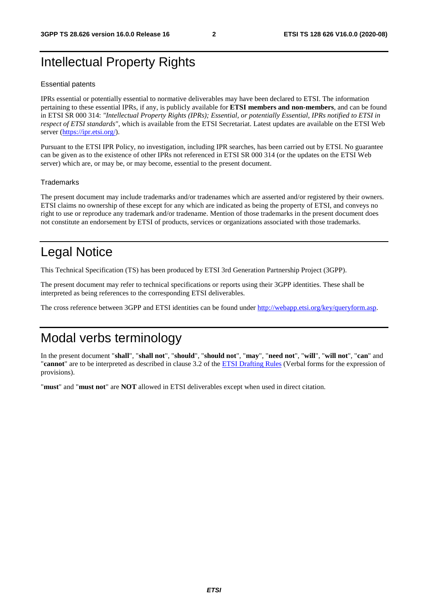### Intellectual Property Rights

#### Essential patents

IPRs essential or potentially essential to normative deliverables may have been declared to ETSI. The information pertaining to these essential IPRs, if any, is publicly available for **ETSI members and non-members**, and can be found in ETSI SR 000 314: *"Intellectual Property Rights (IPRs); Essential, or potentially Essential, IPRs notified to ETSI in respect of ETSI standards"*, which is available from the ETSI Secretariat. Latest updates are available on the ETSI Web server [\(https://ipr.etsi.org/](https://ipr.etsi.org/)).

Pursuant to the ETSI IPR Policy, no investigation, including IPR searches, has been carried out by ETSI. No guarantee can be given as to the existence of other IPRs not referenced in ETSI SR 000 314 (or the updates on the ETSI Web server) which are, or may be, or may become, essential to the present document.

#### **Trademarks**

The present document may include trademarks and/or tradenames which are asserted and/or registered by their owners. ETSI claims no ownership of these except for any which are indicated as being the property of ETSI, and conveys no right to use or reproduce any trademark and/or tradename. Mention of those trademarks in the present document does not constitute an endorsement by ETSI of products, services or organizations associated with those trademarks.

### Legal Notice

This Technical Specification (TS) has been produced by ETSI 3rd Generation Partnership Project (3GPP).

The present document may refer to technical specifications or reports using their 3GPP identities. These shall be interpreted as being references to the corresponding ETSI deliverables.

The cross reference between 3GPP and ETSI identities can be found under<http://webapp.etsi.org/key/queryform.asp>.

#### Modal verbs terminology

In the present document "**shall**", "**shall not**", "**should**", "**should not**", "**may**", "**need not**", "**will**", "**will not**", "**can**" and "**cannot**" are to be interpreted as described in clause 3.2 of the [ETSI Drafting Rules](https://portal.etsi.org/Services/editHelp!/Howtostart/ETSIDraftingRules.aspx) (Verbal forms for the expression of provisions).

"**must**" and "**must not**" are **NOT** allowed in ETSI deliverables except when used in direct citation.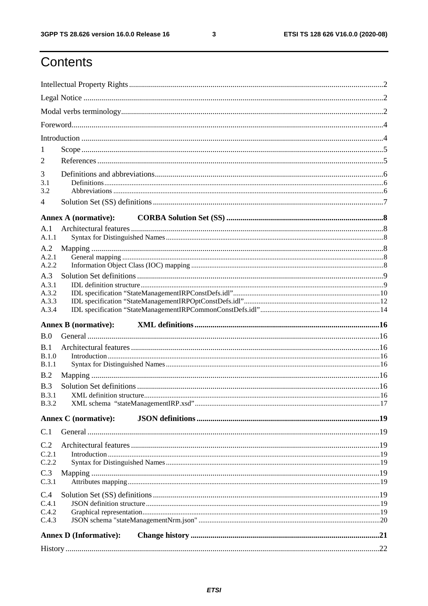$\mathbf{3}$ 

## Contents

| 1                     |                               |  |
|-----------------------|-------------------------------|--|
| 2                     |                               |  |
| 3                     |                               |  |
| 3.1                   |                               |  |
| 3.2                   |                               |  |
| 4                     |                               |  |
|                       | <b>Annex A (normative):</b>   |  |
| A.1                   |                               |  |
| A.1.1                 |                               |  |
| A.2<br>A.2.1          |                               |  |
| A.2.2                 |                               |  |
| A.3                   |                               |  |
| A.3.1                 |                               |  |
| A.3.2                 |                               |  |
| A.3.3<br>A.3.4        |                               |  |
|                       | <b>Annex B</b> (normative):   |  |
| B.0                   |                               |  |
| B.1                   |                               |  |
| B.1.0                 |                               |  |
| B.1.1                 |                               |  |
| B.2                   |                               |  |
| B.3                   |                               |  |
| B.3.1<br><b>B.3.2</b> |                               |  |
|                       |                               |  |
|                       | <b>Annex C</b> (normative):   |  |
| C.1                   |                               |  |
| C.2                   |                               |  |
| C.2.1<br>C.2.2        |                               |  |
| C.3                   |                               |  |
| C.3.1                 |                               |  |
| C.4                   |                               |  |
| C.4.1                 |                               |  |
| C.4.2                 |                               |  |
| C.4.3                 |                               |  |
|                       | <b>Annex D (Informative):</b> |  |
|                       |                               |  |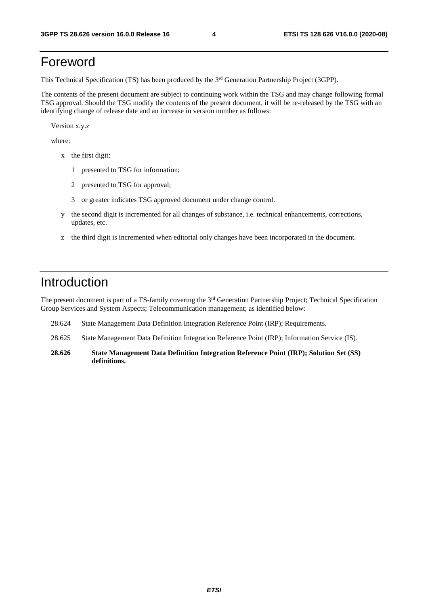#### Foreword

This Technical Specification (TS) has been produced by the 3<sup>rd</sup> Generation Partnership Project (3GPP).

The contents of the present document are subject to continuing work within the TSG and may change following formal TSG approval. Should the TSG modify the contents of the present document, it will be re-released by the TSG with an identifying change of release date and an increase in version number as follows:

Version x.y.z

where:

- x the first digit:
	- 1 presented to TSG for information;
	- 2 presented to TSG for approval;
	- 3 or greater indicates TSG approved document under change control.
- y the second digit is incremented for all changes of substance, i.e. technical enhancements, corrections, updates, etc.
- z the third digit is incremented when editorial only changes have been incorporated in the document.

#### Introduction

The present document is part of a TS-family covering the 3<sup>rd</sup> Generation Partnership Project; Technical Specification Group Services and System Aspects; Telecommunication management; as identified below:

- 28.624 State Management Data Definition Integration Reference Point (IRP); Requirements.
- 28.625 State Management Data Definition Integration Reference Point (IRP); Information Service (IS).
- **28.626 State Management Data Definition Integration Reference Point (IRP); Solution Set (SS) definitions.**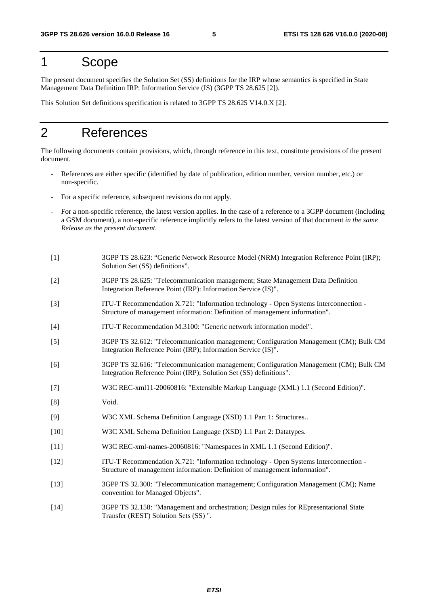#### 1 Scope

The present document specifies the Solution Set (SS) definitions for the IRP whose semantics is specified in State Management Data Definition IRP: Information Service (IS) (3GPP TS 28.625 [2]).

This Solution Set definitions specification is related to 3GPP TS 28.625 V14.0.X [2].

#### 2 References

The following documents contain provisions, which, through reference in this text, constitute provisions of the present document.

- References are either specific (identified by date of publication, edition number, version number, etc.) or non-specific.
- For a specific reference, subsequent revisions do not apply.
- For a non-specific reference, the latest version applies. In the case of a reference to a 3GPP document (including a GSM document), a non-specific reference implicitly refers to the latest version of that document *in the same Release as the present document*.
- [1] 3GPP TS 28.623: "Generic Network Resource Model (NRM) Integration Reference Point (IRP); Solution Set (SS) definitions".
- [2] 3GPP TS 28.625: "Telecommunication management; State Management Data Definition Integration Reference Point (IRP): Information Service (IS)".
- [3] ITU-T Recommendation X.721: "Information technology Open Systems Interconnection Structure of management information: Definition of management information".
- [4] ITU-T Recommendation M.3100: "Generic network information model".
- [5] 3GPP TS 32.612: "Telecommunication management; Configuration Management (CM); Bulk CM Integration Reference Point (IRP); Information Service (IS)".
- [6] 3GPP TS 32.616: "Telecommunication management; Configuration Management (CM); Bulk CM Integration Reference Point (IRP); Solution Set (SS) definitions".
- [7] W3C REC-xml11-20060816: "Extensible Markup Language (XML) 1.1 (Second Edition)".
- [8] Void.
- [9] W3C XML Schema Definition Language (XSD) 1.1 Part 1: Structures..
- [10] W3C XML Schema Definition Language (XSD) 1.1 Part 2: Datatypes.
- [11] W3C REC-xml-names-20060816: "Namespaces in XML 1.1 (Second Edition)".
- [12] ITU-T Recommendation X.721: "Information technology Open Systems Interconnection Structure of management information: Definition of management information".
- [13] 3GPP TS 32.300: "Telecommunication management; Configuration Management (CM); Name convention for Managed Objects".
- [14] 3GPP TS 32.158: "Management and orchestration; Design rules for REpresentational State Transfer (REST) Solution Sets (SS) ".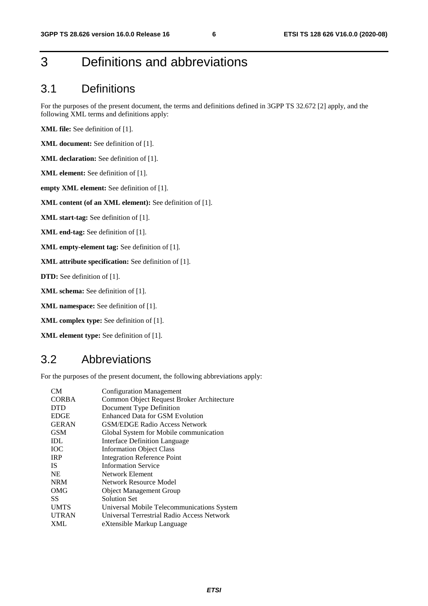### 3 Definitions and abbreviations

#### 3.1 Definitions

For the purposes of the present document, the terms and definitions defined in 3GPP TS 32.672 [2] apply, and the following XML terms and definitions apply:

**XML file:** See definition of [1].

**XML document:** See definition of [1].

**XML declaration:** See definition of [1].

**XML element:** See definition of [1].

**empty XML element:** See definition of [1].

**XML content (of an XML element):** See definition of [1].

**XML start-tag:** See definition of [1].

**XML end-tag:** See definition of [1].

**XML empty-element tag:** See definition of [1].

**XML attribute specification:** See definition of [1].

**DTD:** See definition of [1].

**XML schema:** See definition of [1].

**XML namespace:** See definition of [1].

**XML complex type:** See definition of [1].

**XML element type:** See definition of [1].

#### 3.2 Abbreviations

For the purposes of the present document, the following abbreviations apply:

| CM <sub></sub> | <b>Configuration Management</b>            |
|----------------|--------------------------------------------|
| <b>CORBA</b>   | Common Object Request Broker Architecture  |
| <b>DTD</b>     | Document Type Definition                   |
| <b>EDGE</b>    | Enhanced Data for GSM Evolution            |
| <b>GERAN</b>   | <b>GSM/EDGE Radio Access Network</b>       |
| <b>GSM</b>     | Global System for Mobile communication     |
| IDL            | Interface Definition Language              |
| <b>TOC</b>     | <b>Information Object Class</b>            |
| <b>IRP</b>     | <b>Integration Reference Point</b>         |
| <b>IS</b>      | <b>Information Service</b>                 |
| <b>NE</b>      | Network Element                            |
| <b>NRM</b>     | Network Resource Model                     |
| OMG            | <b>Object Management Group</b>             |
| SS             | Solution Set                               |
| <b>UMTS</b>    | Universal Mobile Telecommunications System |
| <b>UTRAN</b>   | Universal Terrestrial Radio Access Network |
| <b>XML</b>     | eXtensible Markup Language                 |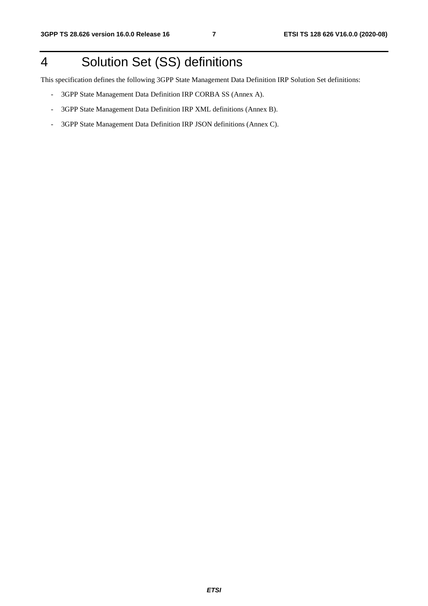## 4 Solution Set (SS) definitions

This specification defines the following 3GPP State Management Data Definition IRP Solution Set definitions:

- 3GPP State Management Data Definition IRP CORBA SS (Annex A).
- 3GPP State Management Data Definition IRP XML definitions (Annex B).
- 3GPP State Management Data Definition IRP JSON definitions (Annex C).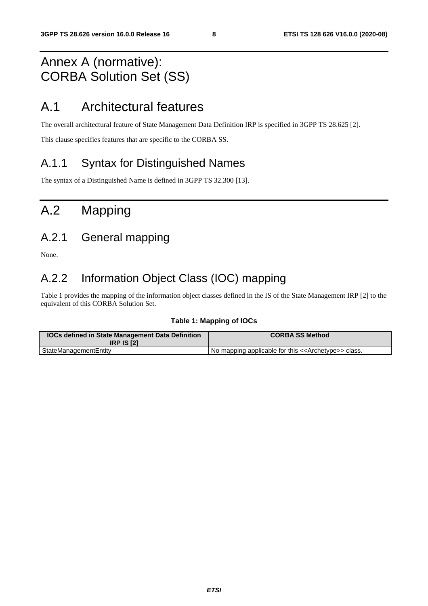### Annex A (normative): CORBA Solution Set (SS)

### A.1 Architectural features

The overall architectural feature of State Management Data Definition IRP is specified in 3GPP TS 28.625 [2].

This clause specifies features that are specific to the CORBA SS.

#### A.1.1 Syntax for Distinguished Names

The syntax of a Distinguished Name is defined in 3GPP TS 32.300 [13].

## A.2 Mapping

#### A.2.1 General mapping

None.

#### A.2.2 Information Object Class (IOC) mapping

Table 1 provides the mapping of the information object classes defined in the IS of the State Management IRP [2] to the equivalent of this CORBA Solution Set.

#### **Table 1: Mapping of IOCs**

| <b>IOCs defined in State Management Data Definition</b><br><b>IRP IS [2]</b> | <b>CORBA SS Method</b>                                              |
|------------------------------------------------------------------------------|---------------------------------------------------------------------|
| StateManagementEntity                                                        | No mapping applicable for this < <archetype>&gt; class.</archetype> |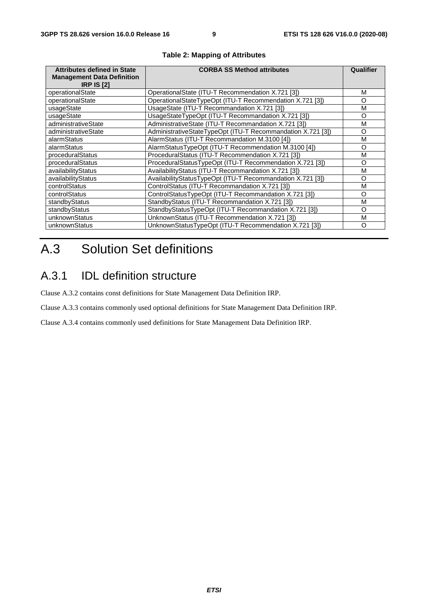| <b>Attributes defined in State</b><br><b>Management Data Definition</b><br><b>IRP IS [2]</b> | <b>CORBA SS Method attributes</b>                           | Qualifier |
|----------------------------------------------------------------------------------------------|-------------------------------------------------------------|-----------|
| operationalState                                                                             | OperationalState (ITU-T Recommendation X.721 [3])           | М         |
| operationalState                                                                             | OperationalStateTypeOpt (ITU-T Recommendation X.721 [3])    | O         |
| usageState                                                                                   | UsageState (ITU-T Recommandation X.721 [3])                 | M         |
| usageState                                                                                   | UsageStateTypeOpt (ITU-T Recommandation X.721 [3])          | Ω         |
| administrativeState                                                                          | AdministrativeState (ITU-T Recommandation X.721 [3])        | M         |
| administrativeState                                                                          | AdministrativeStateTypeOpt (ITU-T Recommandation X.721 [3]) | O         |
| alarmStatus                                                                                  | AlarmStatus (ITU-T Recommandation M.3100 [4])               | м         |
| alarmStatus                                                                                  | AlarmStatusTypeOpt (ITU-T Recommendation M.3100 [4])        | O         |
| proceduralStatus                                                                             | ProceduralStatus (ITU-T Recommendation X.721 [3])           | M         |
| proceduralStatus                                                                             | ProceduralStatusTypeOpt (ITU-T Recommendation X.721 [3])    | $\Omega$  |
| availabilityStatus                                                                           | AvailabilityStatus (ITU-T Recommandation X.721 [3])         | M         |
| availabilityStatus                                                                           | AvailabilityStatusTypeOpt (ITU-T Recommandation X.721 [3])  | Ω         |
| controlStatus                                                                                | ControlStatus (ITU-T Recommandation X.721 [3])              | M         |
| controlStatus                                                                                | ControlStatusTypeOpt (ITU-T Recommandation X.721 [3])       | Ω         |
| standbyStatus                                                                                | StandbyStatus (ITU-T Recommandation X.721 [3])              | м         |
| standbyStatus                                                                                | StandbyStatusTypeOpt (ITU-T Recommandation X.721 [3])       | O         |
| unknownStatus                                                                                | UnknownStatus (ITU-T Recommendation X.721 [3])              | М         |
| unknownStatus                                                                                | UnknownStatusTypeOpt (ITU-T Recommendation X.721 [3])       | O         |

#### **Table 2: Mapping of Attributes**

## A.3 Solution Set definitions

#### A.3.1 IDL definition structure

Clause A.3.2 contains const definitions for State Management Data Definition IRP.

Clause A.3.3 contains commonly used optional definitions for State Management Data Definition IRP.

Clause A.3.4 contains commonly used definitions for State Management Data Definition IRP.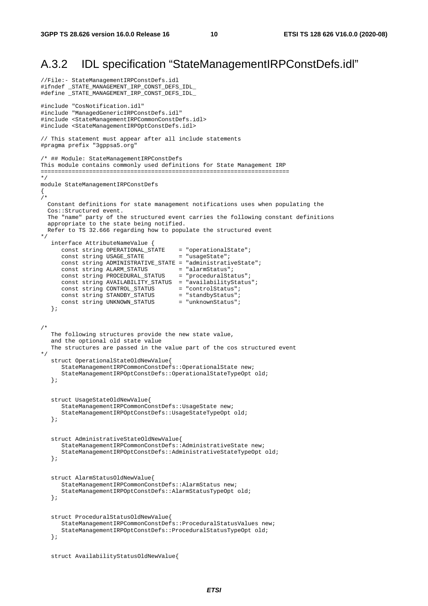#### A.3.2 IDL specification "StateManagementIRPConstDefs.idl"

```
//File:- StateManagementIRPConstDefs.idl 
#ifndef _STATE_MANAGEMENT_IRP_CONST_DEFS_IDL_ 
#define _STATE_MANAGEMENT_IRP_CONST_DEFS_IDL_ 
#include "CosNotification.idl" 
#include "ManagedGenericIRPConstDefs.idl" 
#include <StateManagementIRPCommonConstDefs.idl> 
#include <StateManagementIRPOptConstDefs.idl> 
// This statement must appear after all include statements 
#pragma prefix "3gppsa5.org" 
/* ## Module: StateManagementIRPConstDefs 
This module contains commonly used definitions for State Management IRP 
======================================================================== 
*/ 
module StateManagementIRPConstDefs 
{ 
/*
   Constant definitions for state management notifications uses when populating the 
   Cos::Structured event. 
   The "name" party of the structured event carries the following constant definitions 
   appropriate to the state being notified. 
   Refer to TS 32.666 regarding how to populate the structured event 
*/ 
    interface AttributeNameValue { 
 const string OPERATIONAL_STATE = "operationalState"; 
const string USAGE_STATE = "usageState";
       const string ADMINISTRATIVE_STATE = "administrativeState"; 
const string ALARM_STATUS = "alarmStatus";
 const string PROCEDURAL_STATUS = "proceduralStatus"; 
       const string AVAILABILITY_STATUS = "availabilityStatus"; 
      const string CONTROL_STATUS = "controlStatus";<br>
const string STANDBY_STATUS = "standbyStatus";<br>
const string UNKNOWN_STATUS = "unknownStatus";
      const string STANDBY_STATUS
      const string UNKNOWN_STATUS
    }; 
/* 
    The following structures provide the new state value, 
    and the optional old state value 
    The structures are passed in the value part of the cos structured event 
*/ 
    struct OperationalStateOldNewValue{ 
       StateManagementIRPCommonConstDefs::OperationalState new; 
       StateManagementIRPOptConstDefs::OperationalStateTypeOpt old; 
    }; 
    struct UsageStateOldNewValue{ 
       StateManagementIRPCommonConstDefs::UsageState new; 
       StateManagementIRPOptConstDefs::UsageStateTypeOpt old; 
    }; 
    struct AdministrativeStateOldNewValue{ 
       StateManagementIRPCommonConstDefs::AdministrativeState new; 
       StateManagementIRPOptConstDefs::AdministrativeStateTypeOpt old; 
    }; 
    struct AlarmStatusOldNewValue{ 
       StateManagementIRPCommonConstDefs::AlarmStatus new; 
       StateManagementIRPOptConstDefs::AlarmStatusTypeOpt old; 
    }; 
    struct ProceduralStatusOldNewValue{ 
       StateManagementIRPCommonConstDefs::ProceduralStatusValues new; 
       StateManagementIRPOptConstDefs::ProceduralStatusTypeOpt old; 
    }; 
    struct AvailabilityStatusOldNewValue{
```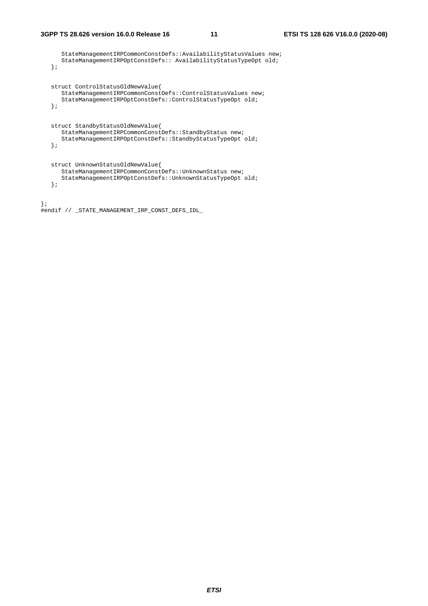StateManagementIRPCommonConstDefs::AvailabilityStatusValues new; StateManagementIRPOptConstDefs:: AvailabilityStatusTypeOpt old; }; struct ControlStatusOldNewValue{ StateManagementIRPCommonConstDefs::ControlStatusValues new; StateManagementIRPOptConstDefs::ControlStatusTypeOpt old; }; struct StandbyStatusOldNewValue{ StateManagementIRPCommonConstDefs::StandbyStatus new; StateManagementIRPOptConstDefs::StandbyStatusTypeOpt old; }; struct UnknownStatusOldNewValue{ StateManagementIRPCommonConstDefs::UnknownStatus new; StateManagementIRPOptConstDefs::UnknownStatusTypeOpt old; }; };

#endif // \_STATE\_MANAGEMENT\_IRP\_CONST\_DEFS\_IDL\_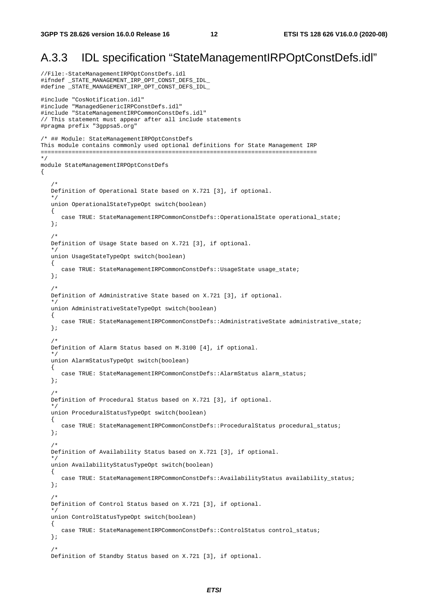#### A.3.3 IDL specification "StateManagementIRPOptConstDefs.idl"

//File:-StateManagementIRPOptConstDefs.idl #ifndef \_STATE\_MANAGEMENT\_IRP\_OPT\_CONST\_DEFS\_IDL\_ #define \_STATE\_MANAGEMENT\_IRP\_OPT\_CONST\_DEFS\_IDL\_ #include "CosNotification.idl" #include "ManagedGenericIRPConstDefs.idl" #include "StateManagementIRPCommonConstDefs.idl" // This statement must appear after all include statements #pragma prefix "3gppsa5.org" /\* ## Module: StateManagementIRPOptConstDefs This module contains commonly used optional definitions for State Management IRP ================================================================================ \*/ module StateManagementIRPOptConstDefs  $\left\{ \right.$  /\* Definition of Operational State based on X.721 [3], if optional. \*/ union OperationalStateTypeOpt switch(boolean) { case TRUE: StateManagementIRPCommonConstDefs: : OperationalState operational\_state; };  $/$  \* Definition of Usage State based on X.721 [3], if optional. \*/ union UsageStateTypeOpt switch(boolean) { case TRUE: StateManagementIRPCommonConstDefs::UsageState usage\_state; }; /\* Definition of Administrative State based on X.721 [3], if optional. \*/ union AdministrativeStateTypeOpt switch(boolean) { case TRUE: StateManagementIRPCommonConstDefs::AdministrativeState administrative state; }; /\* Definition of Alarm Status based on M.3100 [4], if optional. \*/ union AlarmStatusTypeOpt switch(boolean) { case TRUE: StateManagementIRPCommonConstDefs::AlarmStatus alarm\_status; }; /\* Definition of Procedural Status based on X.721 [3], if optional. \*/ union ProceduralStatusTypeOpt switch(boolean) { case TRUE: StateManagementIRPCommonConstDefs::ProceduralStatus procedural\_status; }; /\* Definition of Availability Status based on X.721 [3], if optional. \*/ union AvailabilityStatusTypeOpt switch(boolean) { case TRUE: StateManagementIRPCommonConstDefs::AvailabilityStatus availability\_status; }; /\* Definition of Control Status based on X.721 [3], if optional. \*/ union ControlStatusTypeOpt switch(boolean) { case TRUE: StateManagementIRPCommonConstDefs::ControlStatus control\_status; };  $/$  \* Definition of Standby Status based on X.721 [3], if optional.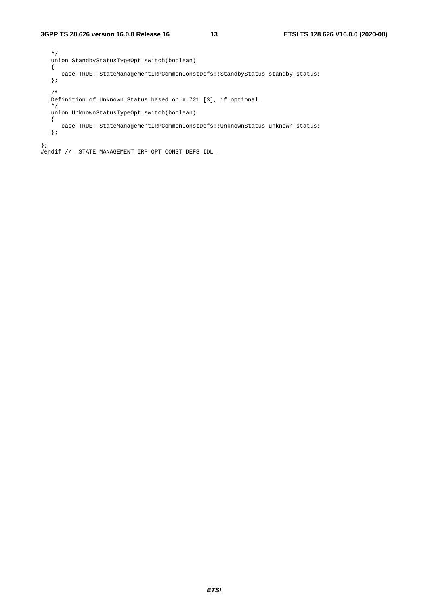```
 */ 
   union StandbyStatusTypeOpt switch(boolean) 
    { 
     case TRUE: StateManagementIRPCommonConstDefs::StandbyStatus standby_status;
    }; 
    /* 
   Definition of Unknown Status based on X.721 [3], if optional. 
    */ 
   union UnknownStatusTypeOpt switch(boolean) 
    { 
     case TRUE: StateManagementIRPCommonConstDefs::UnknownStatus unknown_status;
    }; 
};
```
#endif // \_STATE\_MANAGEMENT\_IRP\_OPT\_CONST\_DEFS\_IDL\_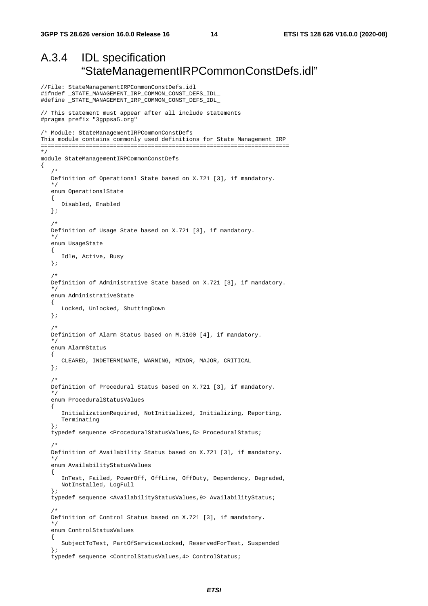//File: StateManagementIRPCommonConstDefs.idl

#### A.3.4 IDL specification "StateManagementIRPCommonConstDefs.idl"

```
#ifndef _STATE_MANAGEMENT_IRP_COMMON_CONST_DEFS_IDL_ 
#define _STATE_MANAGEMENT_IRP_COMMON_CONST_DEFS_IDL_ 
// This statement must appear after all include statements 
#pragma prefix "3gppsa5.org" 
/* Module: StateManagementIRPCommonConstDefs 
This module contains commonly used definitions for State Management IRP 
======================================================================== 
*/ 
module StateManagementIRPCommonConstDefs 
{ 
/ *
    Definition of Operational State based on X.721 [3], if mandatory. 
 */ 
    enum OperationalState 
    { 
       Disabled, Enabled 
    }; 
    /* 
    Definition of Usage State based on X.721 [3], if mandatory. 
    */ 
    enum UsageState 
    { 
       Idle, Active, Busy 
    }; 
    /* 
    Definition of Administrative State based on X.721 [3], if mandatory. 
 */ 
    enum AdministrativeState 
    { 
       Locked, Unlocked, ShuttingDown 
    }; 
    /* 
    Definition of Alarm Status based on M.3100 [4], if mandatory. 
    */ 
    enum AlarmStatus 
    { 
       CLEARED, INDETERMINATE, WARNING, MINOR, MAJOR, CRITICAL 
    }; 
    /* 
    Definition of Procedural Status based on X.721 [3], if mandatory. 
 */ 
    enum ProceduralStatusValues 
    { 
       InitializationRequired, NotInitialized, Initializing, Reporting, 
       Terminating 
    }; 
    typedef sequence <ProceduralStatusValues,5> ProceduralStatus; 
    /* 
    Definition of Availability Status based on X.721 [3], if mandatory. 
    */ 
    enum AvailabilityStatusValues 
    { 
       InTest, Failed, PowerOff, OffLine, OffDuty, Dependency, Degraded, 
       NotInstalled, LogFull 
    }; 
    typedef sequence <AvailabilityStatusValues,9> AvailabilityStatus; 
/ *
    Definition of Control Status based on X.721 [3], if mandatory. 
    */ 
    enum ControlStatusValues 
    { 
       SubjectToTest, PartOfServicesLocked, ReservedForTest, Suspended 
    }; 
    typedef sequence <ControlStatusValues,4> ControlStatus;
```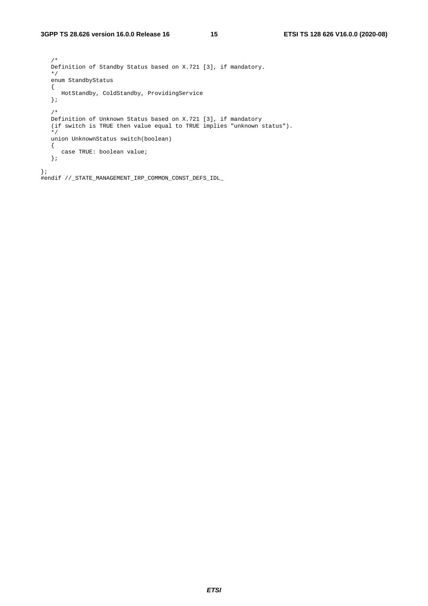/\* Definition of Standby Status based on X.721 [3], if mandatory. \*/ enum StandbyStatus  $\{$  HotStandby, ColdStandby, ProvidingService }; /\*<br>Definition of Unknown Status based on X.721 [3], if mandatory Definition of Unknown Status based on X.721 [3], if mandatory (if switch is TRUE then value equal to TRUE implies "unknown status"). \*/ union UnknownStatus switch(boolean) { case TRUE: boolean value; }; };

#endif //\_STATE\_MANAGEMENT\_IRP\_COMMON\_CONST\_DEFS\_IDL\_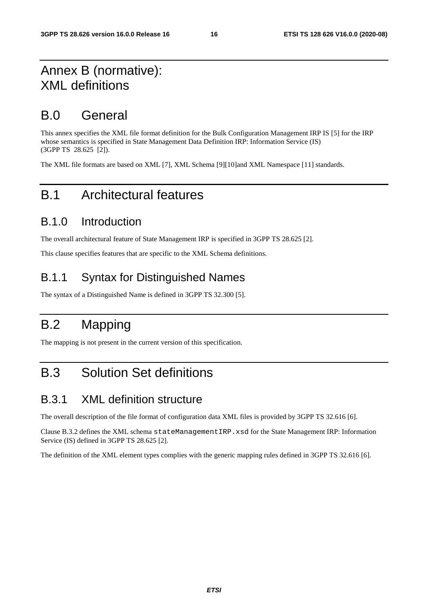### Annex B (normative): XML definitions

### B.0 General

This annex specifies the XML file format definition for the Bulk Configuration Management IRP IS [5] for the IRP whose semantics is specified in State Management Data Definition IRP: Information Service (IS) (3GPP TS 28.625 [2]).

The XML file formats are based on XML [7], XML Schema [9][10]and XML Namespace [11] standards.

### B.1 Architectural features

#### B.1.0 Introduction

The overall architectural feature of State Management IRP is specified in 3GPP TS 28.625 [2].

This clause specifies features that are specific to the XML Schema definitions.

#### B.1.1 Syntax for Distinguished Names

The syntax of a Distinguished Name is defined in 3GPP TS 32.300 [5].

## B.2 Mapping

The mapping is not present in the current version of this specification.

## B.3 Solution Set definitions

#### B.3.1 XML definition structure

The overall description of the file format of configuration data XML files is provided by 3GPP TS 32.616 [6].

Clause B.3.2 defines the XML schema stateManagementIRP.xsd for the State Management IRP: Information Service (IS) defined in 3GPP TS 28.625 [2].

The definition of the XML element types complies with the generic mapping rules defined in 3GPP TS 32.616 [6].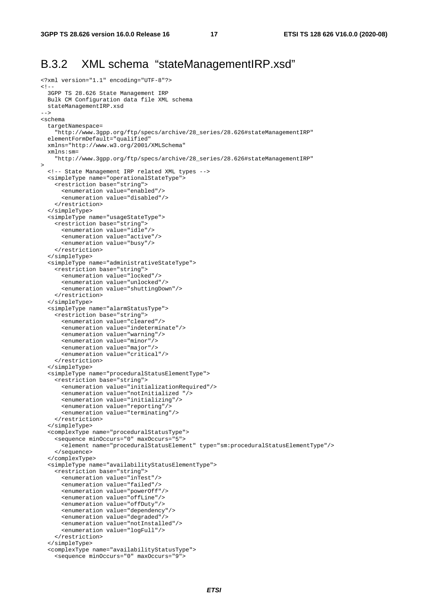#### B.3.2 XML schema "stateManagementIRP.xsd"

```
<?xml version="1.1" encoding="UTF-8"?> 
\leq ! - 3GPP TS 28.626 State Management IRP 
  Bulk CM Configuration data file XML schema 
   stateManagementIRP.xsd 
--> 
<schema 
   targetNamespace= 
     "http://www.3gpp.org/ftp/specs/archive/28_series/28.626#stateManagementIRP" 
   elementFormDefault="qualified" 
   xmlns="http://www.w3.org/2001/XMLSchema" 
   xmlns:sm= 
     "http://www.3gpp.org/ftp/specs/archive/28_series/28.626#stateManagementIRP" 
> 
   <!-- State Management IRP related XML types --> 
   <simpleType name="operationalStateType"> 
     <restriction base="string"> 
       <enumeration value="enabled"/> 
       <enumeration value="disabled"/> 
     </restriction> 
   </simpleType> 
   <simpleType name="usageStateType"> 
     <restriction base="string"> 
       <enumeration value="idle"/> 
       <enumeration value="active"/> 
       <enumeration value="busy"/> 
     </restriction> 
   </simpleType> 
   <simpleType name="administrativeStateType"> 
     <restriction base="string"> 
       <enumeration value="locked"/> 
       <enumeration value="unlocked"/> 
       <enumeration value="shuttingDown"/> 
     </restriction> 
   </simpleType> 
   <simpleType name="alarmStatusType"> 
     <restriction base="string"> 
       <enumeration value="cleared"/> 
       <enumeration value="indeterminate"/> 
       <enumeration value="warning"/> 
       <enumeration value="minor"/> 
       <enumeration value="major"/> 
       <enumeration value="critical"/> 
     </restriction> 
   </simpleType> 
   <simpleType name="proceduralStatusElementType"> 
     <restriction base="string"> 
       <enumeration value="initializationRequired"/> 
       <enumeration value="notInitialized "/> 
       <enumeration value="initializing"/> 
       <enumeration value="reporting"/> 
       <enumeration value="terminating"/> 
     </restriction> 
   </simpleType> 
   <complexType name="proceduralStatusType"> 
     <sequence minOccurs="0" maxOccurs="5"> 
       <element name="proceduralStatusElement" type="sm:proceduralStatusElementType"/> 
     </sequence> 
   </complexType> 
   <simpleType name="availabilityStatusElementType"> 
     <restriction base="string"> 
       <enumeration value="inTest"/> 
       <enumeration value="failed"/> 
       <enumeration value="powerOff"/> 
       <enumeration value="offLine"/> 
       <enumeration value="offDuty"/> 
       <enumeration value="dependency"/> 
       <enumeration value="degraded"/> 
       <enumeration value="notInstalled"/> 
       <enumeration value="logFull"/> 
     </restriction> 
   </simpleType> 
   <complexType name="availabilityStatusType"> 
     <sequence minOccurs="0" maxOccurs="9">
```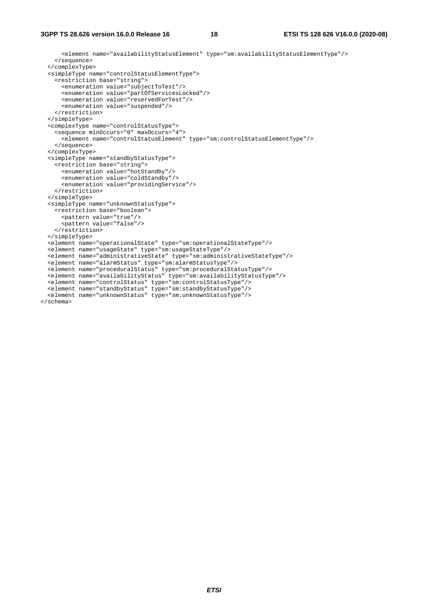<element name="availabilityStatusElement" type="sm:availabilityStatusElementType"/> </sequence> </complexType> <simpleType name="controlStatusElementType"> <restriction base="string"> <enumeration value="subjectToTest"/> <enumeration value="partOfServicesLocked"/> <enumeration value="reservedForTest"/> <enumeration value="suspended"/> </restriction> </simpleType> <complexType name="controlStatusType"> <sequence minOccurs="0" maxOccurs="4"> <element name="controlStatusElement" type="sm:controlStatusElementType"/> </sequence> </complexType> <simpleType name="standbyStatusType"> <restriction base="string"> <enumeration value="hotStandby"/> <enumeration value="coldStandby"/> <enumeration value="providingService"/> </restriction> </simpleType> <simpleType name="unknownStatusType"> <restriction base="boolean"> <pattern value="true"/> <pattern value="false"/> </restriction> </simpleType> <element name="operationalState" type="sm:operationalStateType"/> <element name="usageState" type="sm:usageStateType"/> <element name="administrativeState" type="sm:administrativeStateType"/> <element name="alarmStatus" type="sm:alarmStatusType"/> <element name="proceduralStatus" type="sm:proceduralStatusType"/> <element name="availabilityStatus" type="sm:availabilityStatusType"/> <element name="controlStatus" type="sm:controlStatusType"/> <element name="standbyStatus" type="sm:standbyStatusType"/> <element name="unknownStatus" type="sm:unknownStatusType"/> </schema>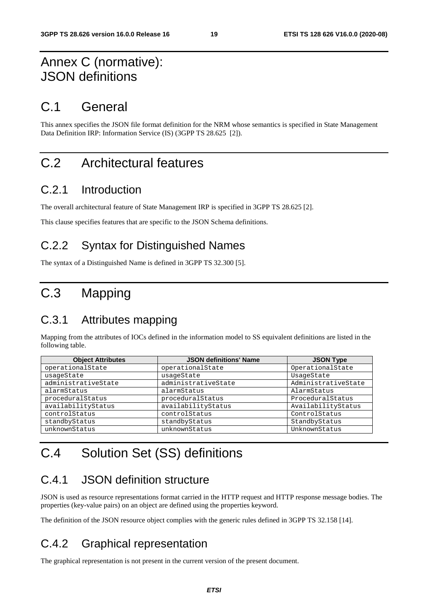### Annex C (normative): JSON definitions

### C.1 General

This annex specifies the JSON file format definition for the NRM whose semantics is specified in State Management Data Definition IRP: Information Service (IS) (3GPP TS 28.625 [2]).

### C.2 Architectural features

#### C.2.1 Introduction

The overall architectural feature of State Management IRP is specified in 3GPP TS 28.625 [2].

This clause specifies features that are specific to the JSON Schema definitions.

#### C.2.2 Syntax for Distinguished Names

The syntax of a Distinguished Name is defined in 3GPP TS 32.300 [5].

## C.3 Mapping

#### C.3.1 Attributes mapping

Mapping from the attributes of IOCs defined in the information model to SS equivalent definitions are listed in the following table.

| <b>Object Attributes</b> | <b>JSON definitions' Name</b> | <b>JSON Type</b>    |
|--------------------------|-------------------------------|---------------------|
| operationalState         | operationalState              | OperationalState    |
| usageState               | usageState                    | UsageState          |
| administrativeState      | administrativeState           | AdministrativeState |
| alarmStatus              | alarmStatus                   | AlarmStatus         |
| proceduralStatus         | proceduralStatus              | ProceduralStatus    |
| availabilityStatus       | availabilityStatus            | AvailabilityStatus  |
| controlStatus            | controlStatus                 | ControlStatus       |
| standbyStatus            | standbyStatus                 | StandbyStatus       |
| unknownStatus            | unknownStatus                 | UnknownStatus       |

## C.4 Solution Set (SS) definitions

#### C.4.1 JSON definition structure

JSON is used as resource representations format carried in the HTTP request and HTTP response message bodies. The properties (key-value pairs) on an object are defined using the properties keyword.

The definition of the JSON resource object complies with the generic rules defined in 3GPP TS 32.158 [14].

#### C.4.2 Graphical representation

The graphical representation is not present in the current version of the present document.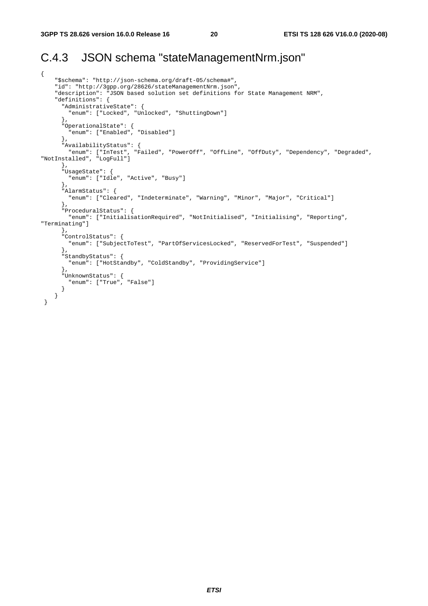#### C.4.3 JSON schema "stateManagementNrm.json"

```
{ 
     "$schema": "http://json-schema.org/draft-05/schema#", 
     "id": "http://3gpp.org/28626/stateManagementNrm.json", 
     "description": "JSON based solution set definitions for State Management NRM", 
     "definitions": { 
       "AdministrativeState": { 
         "enum": ["Locked", "Unlocked", "ShuttingDown"] 
       }, 
 "OperationalState": { 
 "enum": ["Enabled", "Disabled"] 
       }, 
       "AvailabilityStatus": { 
 "enum": ["InTest", "Failed", "PowerOff", "OffLine", "OffDuty", "Dependency", "Degraded", 
"NotInstalled", "LogFull"] 
       }, 
       "UsageState": { 
         "enum": ["Idle", "Active", "Busy"] 
       }, 
       "AlarmStatus": { 
         "enum": ["Cleared", "Indeterminate", "Warning", "Minor", "Major", "Critical"] 
       }, 
       "ProceduralStatus": { 
        "enum": ["InitialisationRequired", "NotInitialised", "Initialising", "Reporting", 
"Terminating"] 
       }, 
       "ControlStatus": { 
         "enum": ["SubjectToTest", "PartOfServicesLocked", "ReservedForTest", "Suspended"] 
       }, 
       "StandbyStatus": { 
         "enum": ["HotStandby", "ColdStandby", "ProvidingService"] 
       }, 
       "UnknownStatus": { 
         "enum": ["True", "False"] 
       } 
     } 
  }
```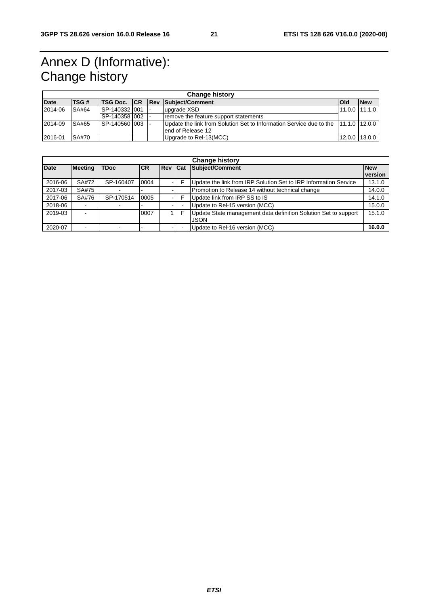## Annex D (Informative): Change history

| <b>Change history</b> |              |                 |  |  |                                                                                   |       |                 |  |
|-----------------------|--------------|-----------------|--|--|-----------------------------------------------------------------------------------|-------|-----------------|--|
| <b>Date</b>           | TSG#         |                 |  |  | TSG Doc.   CR   Rev   Subject/Comment                                             | l Old | <b>New</b>      |  |
| 2014-06               | SA#64        | ISP-140332 I001 |  |  | upgrade XSD                                                                       |       | $11.0.0$ 11.1.0 |  |
|                       |              | SP-140358 002   |  |  | remove the feature support statements                                             |       |                 |  |
| 2014-09               | SA#65        | ISP-140560 003  |  |  | Update the link from Solution Set to Information Service due to the 11.1.0 12.0.0 |       |                 |  |
|                       |              |                 |  |  | lend of Release 12                                                                |       |                 |  |
| 2016-01               | <b>SA#70</b> |                 |  |  | Upgrade to Rel-13(MCC)                                                            |       | 12.0.0 13.0.0   |  |

| <b>Change history</b> |                |             |            |                |  |                                                                                |                       |
|-----------------------|----------------|-------------|------------|----------------|--|--------------------------------------------------------------------------------|-----------------------|
| <b>Date</b>           | <b>Meeting</b> | <b>TDoc</b> | <b>ICR</b> | <b>Rev Cat</b> |  | Subject/Comment                                                                | <b>New</b><br>version |
| 2016-06               | SA#72          | SP-160407   | 0004       |                |  | Update the link from IRP Solution Set to IRP Information Service               | 13.1.0                |
| 2017-03               | SA#75          |             |            |                |  | Promotion to Release 14 without technical change                               | 14.0.0                |
| 2017-06               | SA#76          | SP-170514   | 0005       |                |  | Update link from IRP SS to IS                                                  | 14.1.0                |
| 2018-06               |                |             |            |                |  | Update to Rel-15 version (MCC)                                                 | 15.0.0                |
| 2019-03               | ۰              |             | 0007       |                |  | Update State management data definition Solution Set to support<br><b>JSON</b> | 15.1.0                |
| 2020-07               | $\blacksquare$ |             |            |                |  | Update to Rel-16 version (MCC)                                                 | 16.0.0                |